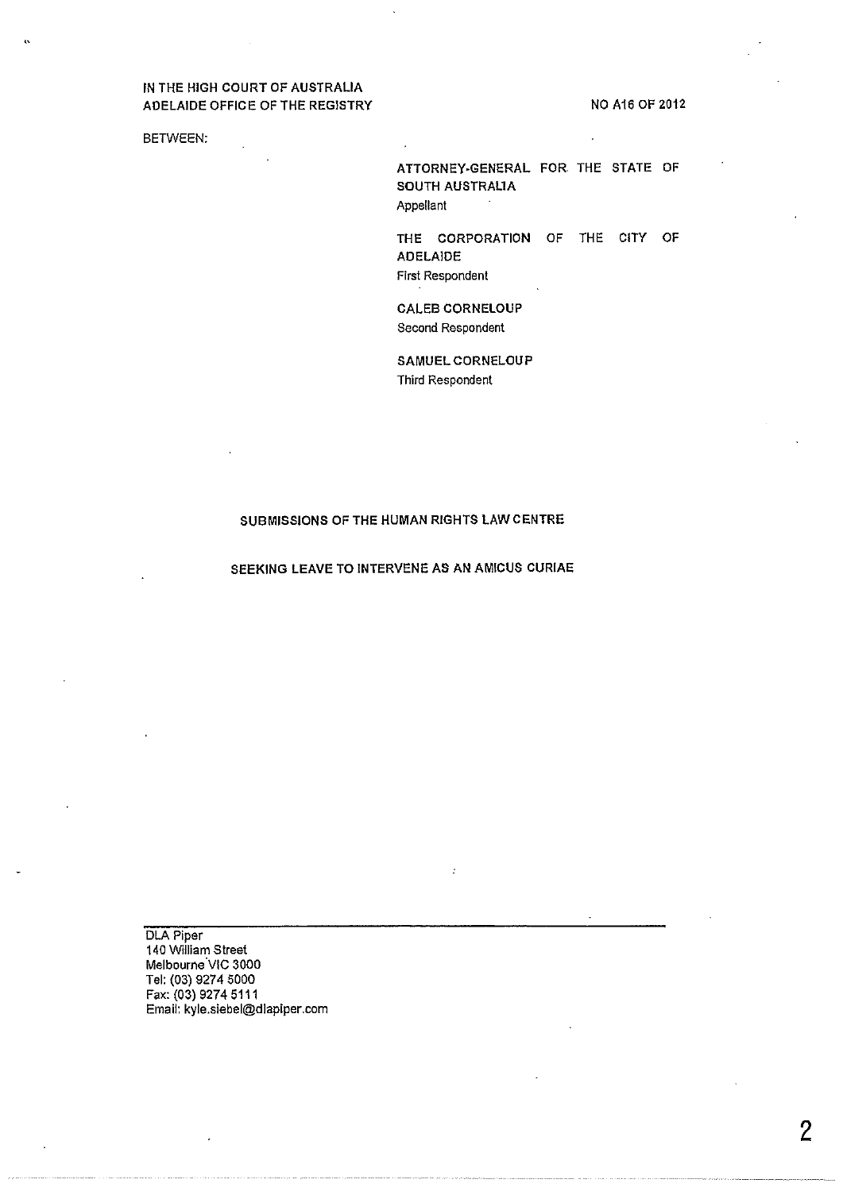# IN THE HIGH COURT OF AUSTRALIA ADELAIDE OFFICE OF THE REGISTRY

NO A16 OF 2012

BETWEEN:

 $\ddot{\phantom{0}}$ 

ATTORNEY·GENERAL FOR THE STATE OF SOUTH AUSTRALIA Appellant

THE CORPORATION OF THE CITY OF ADELAIDE

First Respondent

CALEB CORNELOUP Second Respondent

SAMUEL CORNELOUP Third Respondent

### SUBMISSIONS OF THE HUMAN RIGHTS LAW CENTRE

## SEEKING LEAVE TO INTERVENE AS AN AMICUS CURIAE

Ġ

DLA Piper 140 William Street Melbourne VIC 3000 Tel: (03) 9274 5000 Fax: (03) 9274 5111 Email: kyle.siebel@dlapiper.com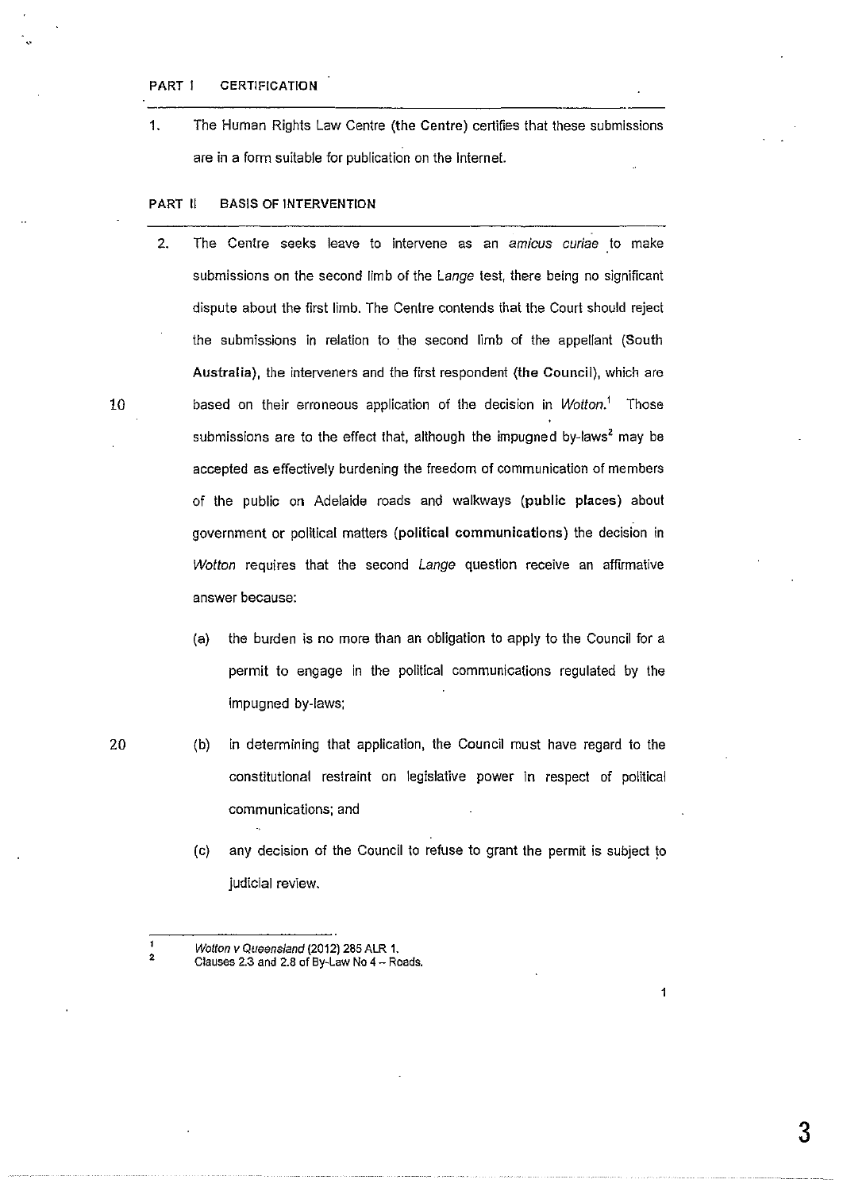### PART I CERTIFICATION

1. The Human Rights Law Centre (the Centre) certifies that these submissions are in a form suitable for publication on the Internet.

# PART II BASIS OF INTERVENTION

- 2. The Centre seeks leave to intervene as an amicus curiae to make submissions on the second limb of the Lange test, there being no significant dispute about the first limb. The Centre contends that the Court should reject the submissions in relation to the second limb of the appellant (South Australia), the interveners and the first respondent (the Council), which are 10 based on their erroneous application of the decision in Wotton.<sup>1</sup> Those submissions are to the effect that, although the impugned by-laws<sup>2</sup> may be accepted as effectively burdening the freedom of communication of members of the public on Adelaide roads and walkways (public places) about government or political matters (political communications) the decision in Wotton requires that the second Lange question receive an affirmative answer because:
	- (a) the burden is no more than an obligation to apply to the Council for a permit to engage in the political communications regulated by the impugned by-laws;
- 20 (b) in determining that application, the Council must have regard to the constitutional restraint on legislative power in respect of political communications; and
	- (c) any decision of the Council to refuse to grant the permit is subject to judicial review.

 $\ddot{\phantom{0}}$ 

<sup>2</sup>  Wotton v Queensland (2012) 285 ALR 1.

Clauses 2.3 and 2.8 of By-Law No 4- Roads.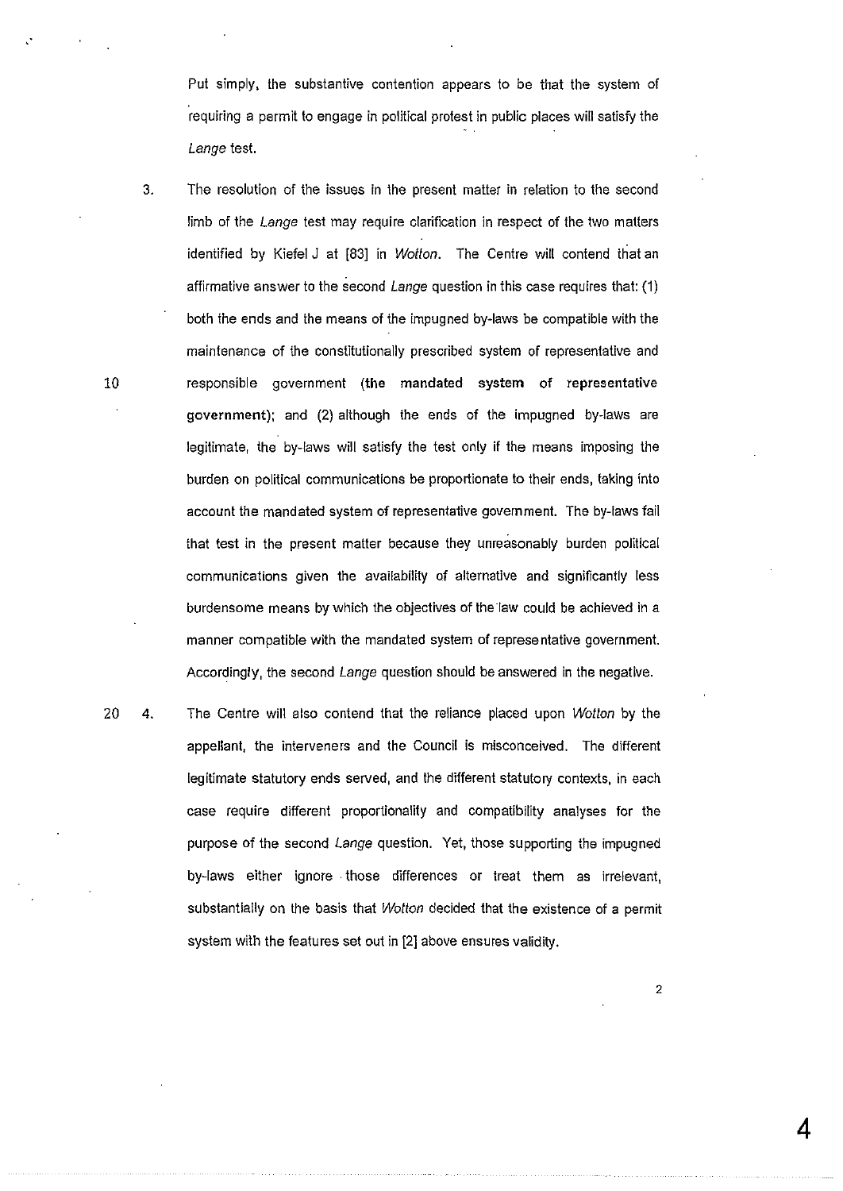Put simply, the substantive contention appears to be that the system of requiring a permit to engage in political protest in public places will satisfy the Lange test.

3. The resolution of the issues in the present matter in relation to the second limb of the Lange test may require clarification in respect of the two matters identified by Kiefel J at [83] in Wotton. The Centre will contend that an affirmative answer to the second Lange question in this case requires that: (1) both the ends and the means of the impugned by-laws be compatible with the maintenance of the constitutionally prescribed system of representative and 10 responsible government (the mandated system of representative government); and (2) although the ends of the impugned by-laws are legitimate, the by-laws will satisfy the test only if the means imposing the burden on political communications be proportionate to their ends, taking into account the mandated system of representative government. The by-laws fail that test in the present matter because they unreasonably burden political communications given the availability of alternative and significantly less burdensome means by which the objectives of the law could be achieved in a manner compatible with the mandated system of representative government. Accordingly, the second Lange question should be answered in the negative.

20 4. The Centre will also contend that the reliance placed upon Wotton by the appellant, the interveners and the Council is misconceived. The different legitimate statutory ends served, and the different statutory contexts, in each case require different proportionality and compatibility analyses for the purpose of the second Lange question. Yet, those supporting the impugned by-laws either ignore . those differences or treat them as irrelevant, substantially on the basis that Wotton decided that the existence of a permit system with the features set out in [2] above ensures validity.

2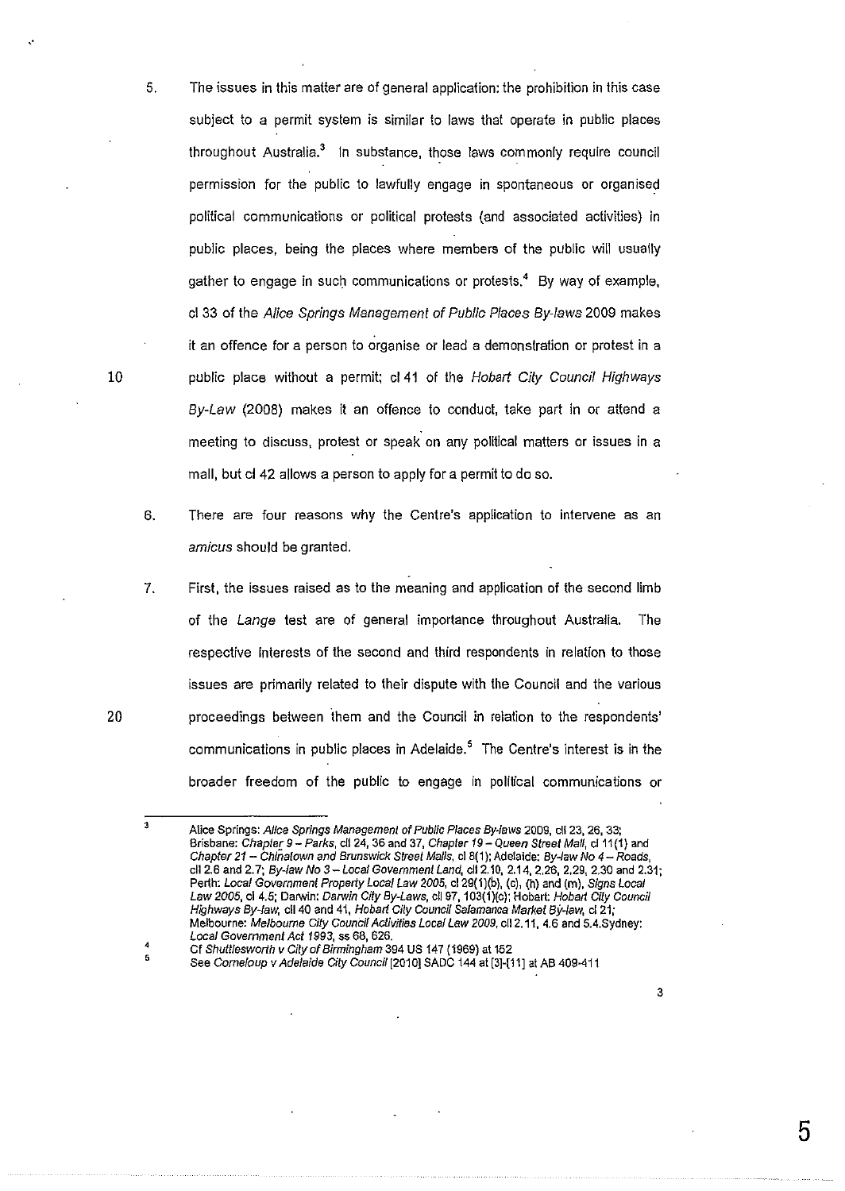- 5. The issues in this matter are of general application: the prohibition in this case subject to a permit system is similar to laws that operate in public places throughout Australia.<sup>3</sup> In substance, those laws commonly require council permission for the public to lawfully engage in spontaneous or organised political communications or political protests (and associated activities) in public places, being the places where members of the public will usually gather to engage in such communications or protests, $4$  By way of example, cl 33 of the Alice Springs Management of Public Places By-laws 2009 makes it an offence for a person to organise or lead a demonstration or protest in a public place without a permit; cl 41 of the Hobart City Council Highways By-Law (2008) makes it an offence to conduct, take part in or attend a meeting to discuss, protest or speak on any political matters or issues in a mall, but cl 42 allows a person to apply for a permit to do so.
- 6. There are four reasons why the Centre's application to intervene as an amicus should be granted.
- 7. First, the issues raised as to the meaning and application of the second limb of the Lange test are of general importance throughout Australia. The respective interests of the second and third respondents in relation to those issues are primarily related to their dispute with the Council and the various proceedings between ihem and the Council in relation to the respondents' communications in public places in Adelaide.<sup>5</sup> The Centre's interest is in the broader freedom of the public to engage in political communications or

3

5

10

..

<sup>3</sup>  Alice Springs: Alice Springs Management of Public Places By-laws 2009, ell 23, 26, 33; Brisbane: *Chapter 9 – Parks*, cll 24, 36 and 37, *Chapter 19 – Queen Street Mall*, cl 11(1) and Chapter *21-* Chinatown and Brunswick Street Malis, cl8(1); Adelaide: By-law No *4-* Roads, ell 2.6 and 2. 7; By-law No *3-* Local Government Land, cii2.1G, 2.14, 2.26, 2.29, 2.30 and 2.31; Perth: Local Government Properly Local Law 2005, cl29(1)(b), (c), (h) and (m), Signs Local Law 2005, cl 4.5; Darwin: Darwin City By-Laws, cll 97, 103(1)(c); Hobart: Hobart City Council Highways By-law, cll 40 and 41, Hobart Cily Council Salamanca Market By-law, cl 21; Melbourne: Melbourne Cily Council Activities Local Law 2009, cl12.11, 4.6 and 5.4.Sydney: Local Government Act 1993, ss 68, 626.

<sup>4</sup>  Cf Shull/esworlh v City of Birmingham 394 US 147 (1969) at 152

<sup>5</sup>  See Corneloup v Adelaide City Council (2010] SADC 144 at (3]-[11] at AB 409·411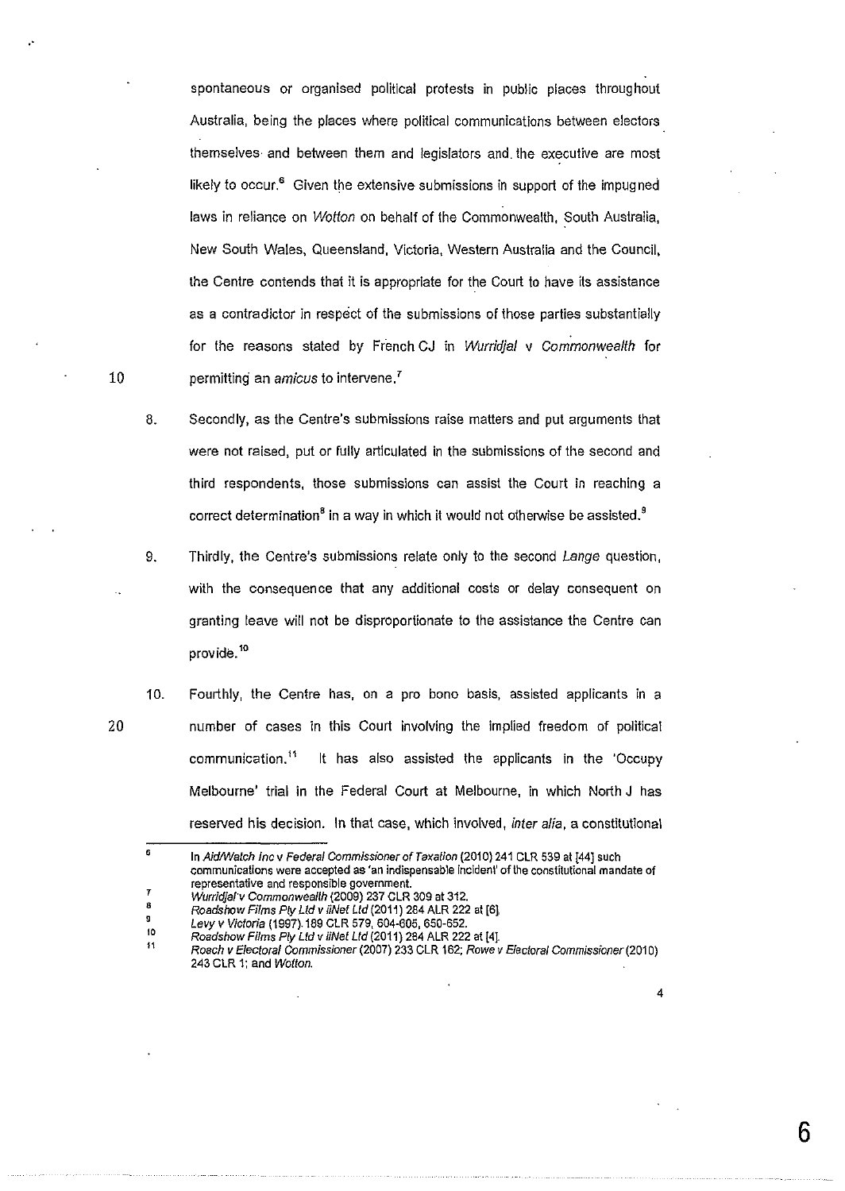spontaneous or organised political protests in public places throughout Australia, being the places where political communications between electors themselves and between them and legislators and. the executive are most likely to occur. $<sup>6</sup>$  Given the extensive submissions in support of the impugned</sup> laws in reliance on Wotton on behalf of the Commonwealth, South Australia, New South Wales, Queensland, Victoria, Western Australia and the Council, the Centre contends that it is appropriate for the Court to have its assistance as a contradictor in respect of the submissions of those parties substantially for the reasons stated by French CJ in Wurridja/ v Commonwealth for permitting an amicus to intervene.<sup>7</sup>

8. Secondly, as the Centre's submissions raise matters and put arguments that were not raised, put or fully articulated in the submissions of the second and third respondents, those submissions can assist the Court in reaching a correct determination<sup>8</sup> in a way in which it would not otherwise be assisted.<sup>9</sup>

9. Thirdly, the Centre's submissions relate only to the second Lange question, with the consequence that any additional costs or delay consequent on granting leave will not be disproportionate to the assistance the Centre can provide. <sup>10</sup>

10. Fourthly, the Centre has, on a pro bono basis, assisted applicants in a number of cases in this Court involving the implied freedom of political communication." It has also assisted the applicants in the 'Occupy Melbourne' trial in the Federal Court at Melbourne, in which North J has reserved his decision. In that case, which involved, inter alia, a constitutional

4

**6** 

10

20

.·

<sup>•</sup>  In Aid/Watch Inc v Federal Commissioner of Taxation (2010) 241 CLR 539 at [44] such **communications were accepted as 'an indispensable incident' of the constitutional mandate of** 

**representative and responsible government.** 

<sup>7</sup>  8 Wurridjal'v Commonweallh (2009) 237 CLR 309 at 312.

<sup>9</sup>  Roads how Films Ply Ltd v iiNet Ltd (2011) 284 ALR 222 at [6].

<sup>10</sup>  Levy v Victoria (1997).189 CLR 579, 604-605, 650-652.

Roadshow Films Ply Ltd v iiNel Ltd (2011) 284 ALR 222 at [4].

<sup>11</sup>  Roach v Electoral Commissioner (2007) 233 CLR 162; Rowe v Electoral Commissioner (2010) 243 CLR 1; and Wotton.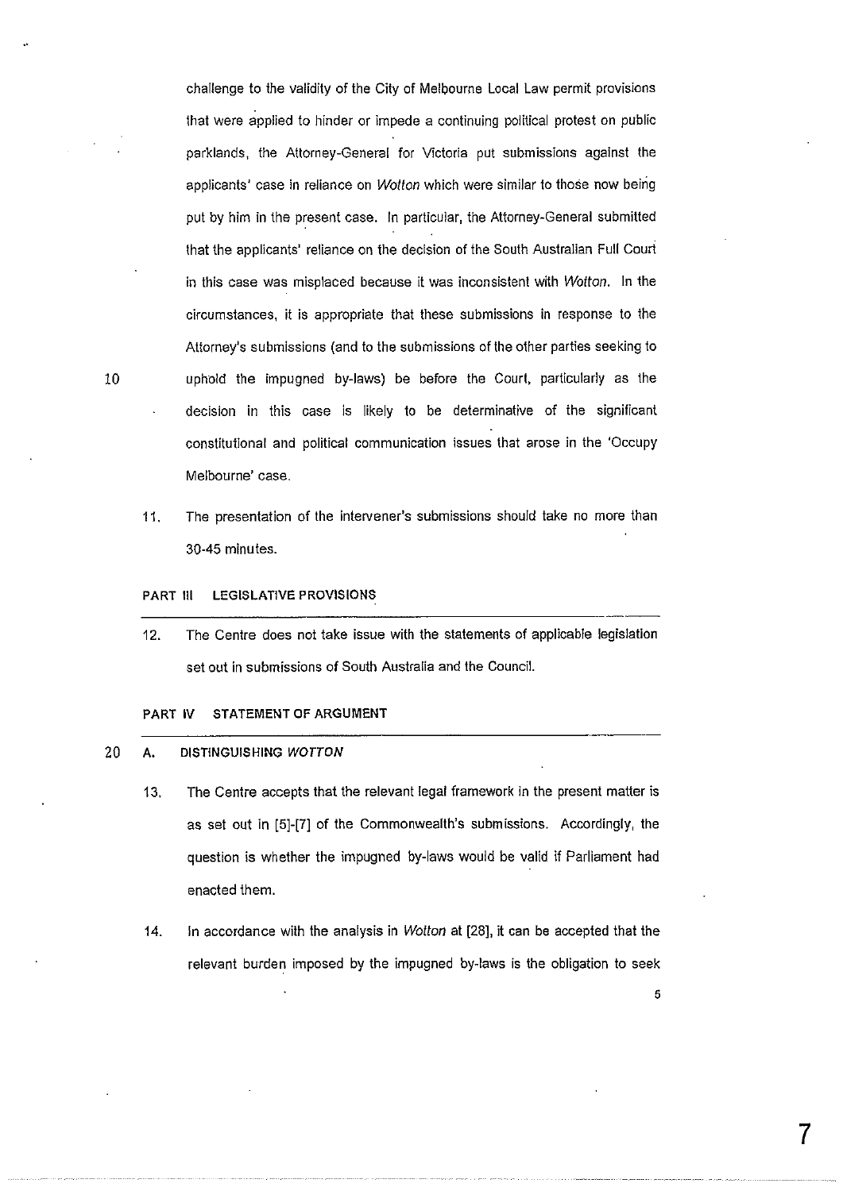challenge *to* the validity of the City of Melbourne Local Law permit provisions that were applied to hinder or impede a continuing political protest on public parklands, the Attorney-General for Victoria put submissions against the applicants' case in reliance on Wotton which were similar to those now being put by him in the present case. In particular, the Attorney-General submitted that the applicants' reliance on the decision of the South Australian Full Court in this case was misplaced because it was inconsistent with Wotton. In the circumstances, it is appropriate that these submissions in response to the Attorney's submissions (and *to* the submissions of the other parties seeking to 10 uphold the impugned by-laws) be before the Court, particularly as the decision in this case is likely to be determinative of the significant constitutional and political communication issues that arose in the 'Occupy Melbourne' case.

11. The presentation of the intervener's submissions should take no more than 30-45 minutes.

### PART III LEGISLATIVE PROVISIONS

------------------------ 12. The Centre does not take issue with the statements of applicable legislation set out in submissions of South Australia and the Council.

# PART IV STATEMENT OF ARGUMENT

#### 20 A. DISTINGUISHING WOTTON

- 13. The Centre accepts that the relevant legal framework in the present matter is as set out in [5]-[7] of the Commonwealth's submissions. Accordingly, the question is whether the impugned by-laws would be valid if Parliament had enacted them.
- 14. In accordance with the analysis in *Wotton* at [28], it can be accepted that the relevant burden imposed by the impugned by-laws is the obligation to seek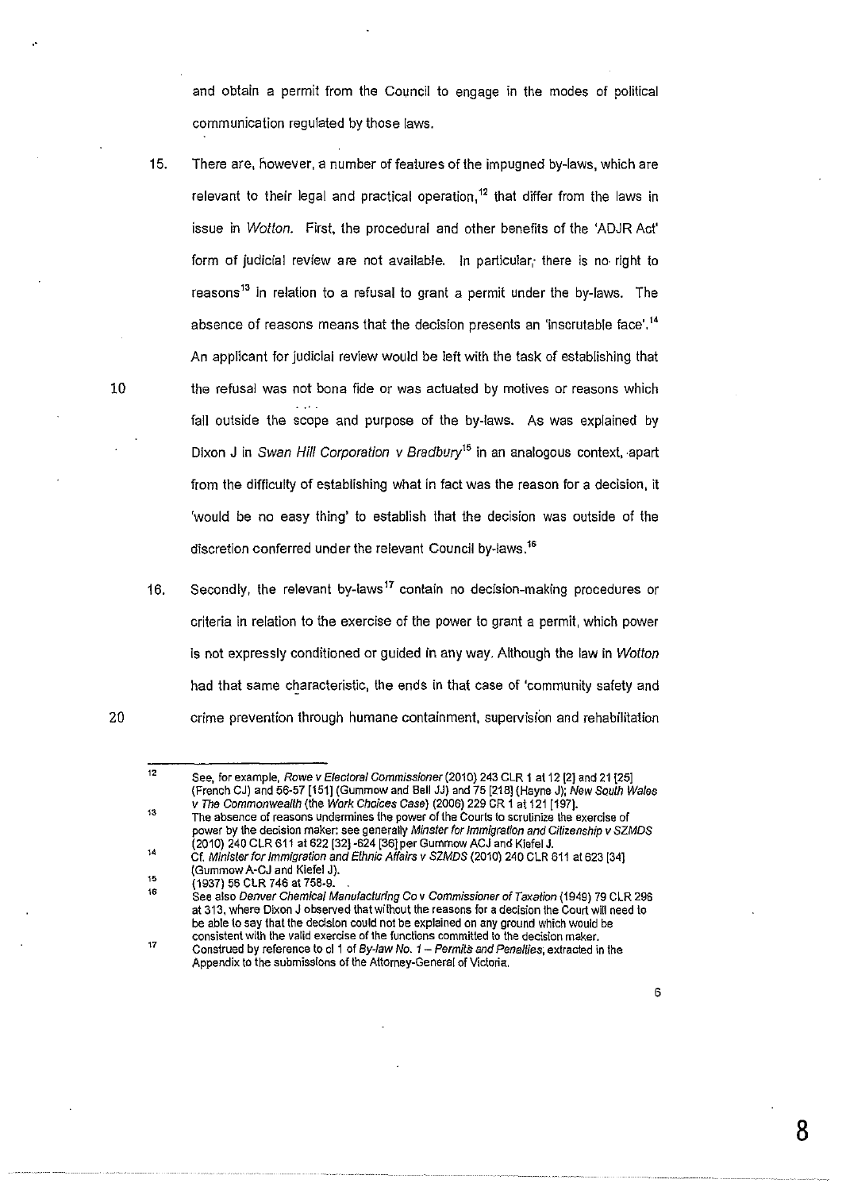and obtain a permit from the Council to engage in the modes of political communication regulated by those laws.

- 15. There are, however, a number of features of the impugned by-laws, which are relevant to their legal and practical operation,<sup>12</sup> that differ from the laws in issue in Wotton. First, the procedural and other benefits of the 'ADJR Act' form of judicial review are not available. In particular, there is no right to reasons<sup>13</sup> in relation to a refusal to grant a permit under the by-laws. The absence of reasons means that the decision presents an 'inscrutable face'.<sup>14</sup> An applicant for judicial review would be left with the task of establishing that the refusal was not bona fide or was actuated by motives or reasons which fall outside the scope and purpose of the by-laws. As was explained by Dixon J in Swan Hill Corporation v Bradbury<sup>15</sup> in an analogous context, apart from the difficulty of establishing what in fact was the reason for a decision, it 'would be no easy thing' to establish that the decision was outside of the discretion conferred under the relevant Council by-laws.<sup>16</sup>
- 16. Secondly, the relevant by-laws<sup>17</sup> contain no decision-making procedures or criteria in relation to the exercise of the power to grant a permit, which power is not expressly conditioned or guided in any way. Although the law in Wotton had that same characteristic, the ends in that case of 'community safety and crime prevention through humane containment, supervision and rehabilitation

10

..

<sup>12</sup>  See, for example, Rowe v Electoral Commissioner (2010) 243 CLR 1 at 12 [2] and 21 [25] (French CJ) and 56-57 [151] (Gummow and Bell JJ) and 75 [218] (Hayne J); New South Wales v The Commonwealth (the Work Choices Case) (2006) 229 CR 1 at 121 [197}.

 $13$ The absence of reasons undermines the power of the Courts to scrutinize the exercise of power by the decision maker: see generally Minster for Immigration and Citizenship v SZMOS (2010) 240 CLR 611 at 622 [32] -624 [36}per Gummow ACJ and Kiefel J. 14

<sup>15</sup>  Cf. Minister for Immigration and Ethnic Affairs v SZMDS (2010) 240 CLR 611 at 623 [34] (Gummow A-CJ and Kiefel J).

<sup>(1937) 56</sup> CLR 746 at 758-9. .

<sup>16</sup>  **See also Denver Chemical Manufacturing Co v Commissioner of Taxation (1949) 79 CLR 296 at 313, where Dixon J observed that without the reasons for a decision the Court will need to**  be able to say that the decision could not be explained on any ground which would be **consistent with the valid exercise of the functions committed to the decision maker.** 

<sup>17</sup>  Construed by reference to cl 1 of By-law No. 1 - Permits and Penalties; extracted in the Appendix to the submissions of the Attorney-General of Victoria.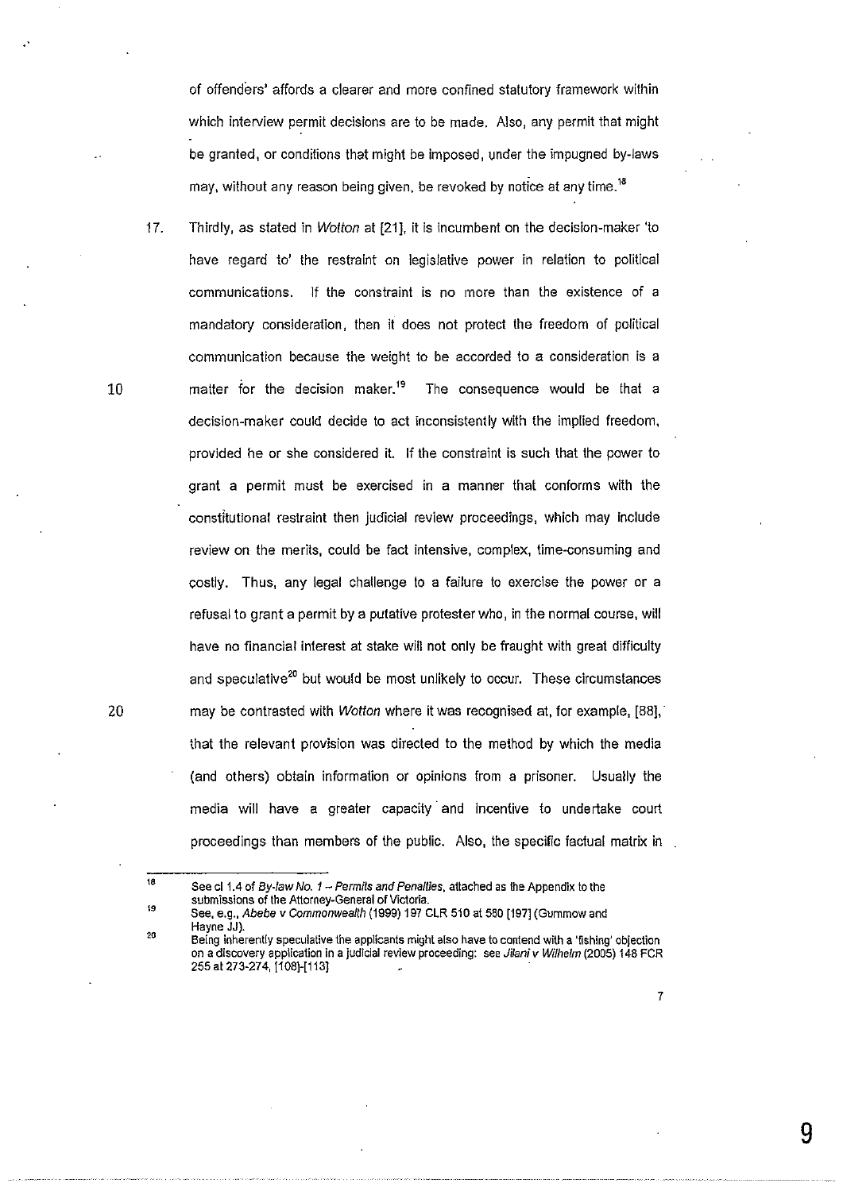of offenders' affords a clearer and more confined statutory framework within which interview permit decisions are to be made. Also, any permit that might be granted, or conditions that might be imposed, under the impugned by-laws may, without any reason being given, be revoked by notice at any time.<sup>18</sup>

17. Thirdly, as stated in Wotton at [21], it is incumbent on the decision-maker 'to have regard to' the restraint on legislative power in relation to political communications. If the constraint is no more than the existence of a mandatory consideration, then it does not protect the freedom of political communication because the weight to be accorded to a consideration is a matter for the decision maker.<sup>19</sup> The consequence would be that a decision-maker could decide to act inconsistently with the implied freedom, provided he or she considered it. If the constraint is such that the power to grant a permit must be exercised in a manner that conforms with the constitutional restraint then judicial review proceedings, which may include review on the merits, could be fact intensive, complex, time-consuming and costly. Thus, any legal challenge to a failure to exercise the power or a refusal to grant a permit by a putative protester who, in the normal course, will have no financial interest at stake will not only be fraught with great difficulty and speculative<sup>20</sup> but would be most unlikely to occur. These circumstances may be contrasted with Wotton where it was recognised at, for example, [88], · that the relevant provision was directed to the method by which the media (and others) obtain information or opinions from a prisoner. Usually the media will have a greater capacity and incentive to undertake court proceedings than members of the public. Also, the specific factual matrix in

10

20

<sup>18</sup>  ,. See cl 1.4 of By-law No.  $1$  - Permits and Penallies, attached as the Appendix to the **submissions of the Attorney-General of Victoria.** 

See, e.g., Abebe v Commonwealth (1999) 197 CLR 510 at 580 [197] (Gummow and Hayne JJ).  $20$ 

**Being inherently speculative the applicants might also have to contend with a 'fishing' objection on a discovery application in a judicial review proceeding: see Jilaniv Wilhefm (2005) 148 FCR**  255 at 273-274, [1 08)-[113]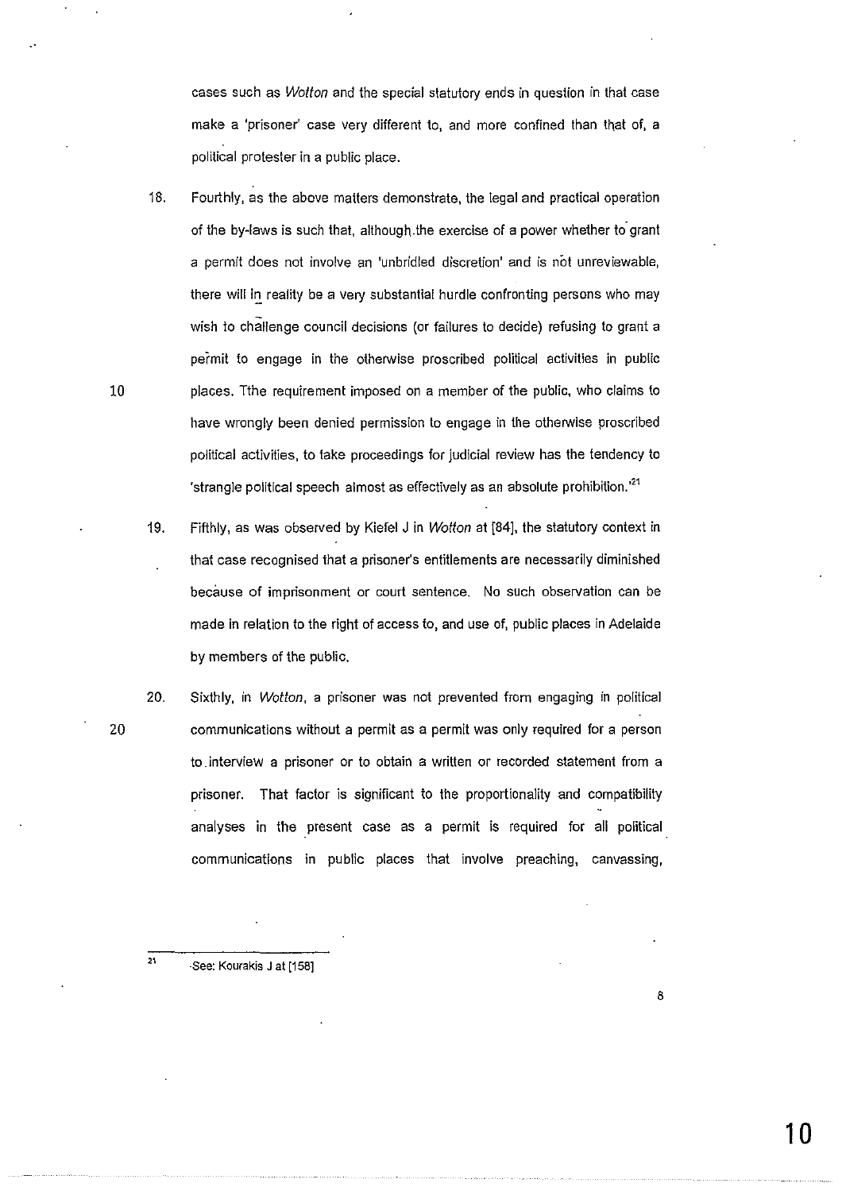cases such as Wotton and the special statutory ends in question in that case make a 'prisoner' case very different to, and more confined than that of, a political protester in a public place.

- 18. Fourthly, as the above matters demonstrate, the legal and practical operation of the by-laws is such that, although the exercise of a power whether to grant a permit does not involve an 'unbridled discretion' and is not unreviewable, there will in reality be a very substantial hurdle confronting persons who may wish to challenge council decisions (or failures to decide) refusing to grant a permit to engage in the otherwise proscribed political activities in public 10 places. Tthe requirement imposed on a member of the public, who claims to have wrongly been denied permission to engage in the otherwise proscribed political activities, to take proceedings for judicial review has the tendency to 'strangle political speech almost as effectively as an absolute prohibition.<sup>21</sup>
	- 19. Fifthly, as was observed by Kiefel J in Wotton at [84], the statutory context in that case recognised that a prisoner's entitlements are necessarily diminished because of imprisonment or court sentence. No such observation can be made in relation to the right of access to, and use of, public places in Adelaide by members of the public.
- 20 20. Sixthly, in Wotton, a prisoner was not prevented from engaging in political communications without a permit as a permit was only required for a person to. interview a prisoner or to obtain a written or recorded statement from a prisoner. That factor is significant to the proportionality and compatibility analyses in the present case as a permit is required for all political communications in public places that involve preaching, canvassing,

·See: Kourakis J at [158]

21

10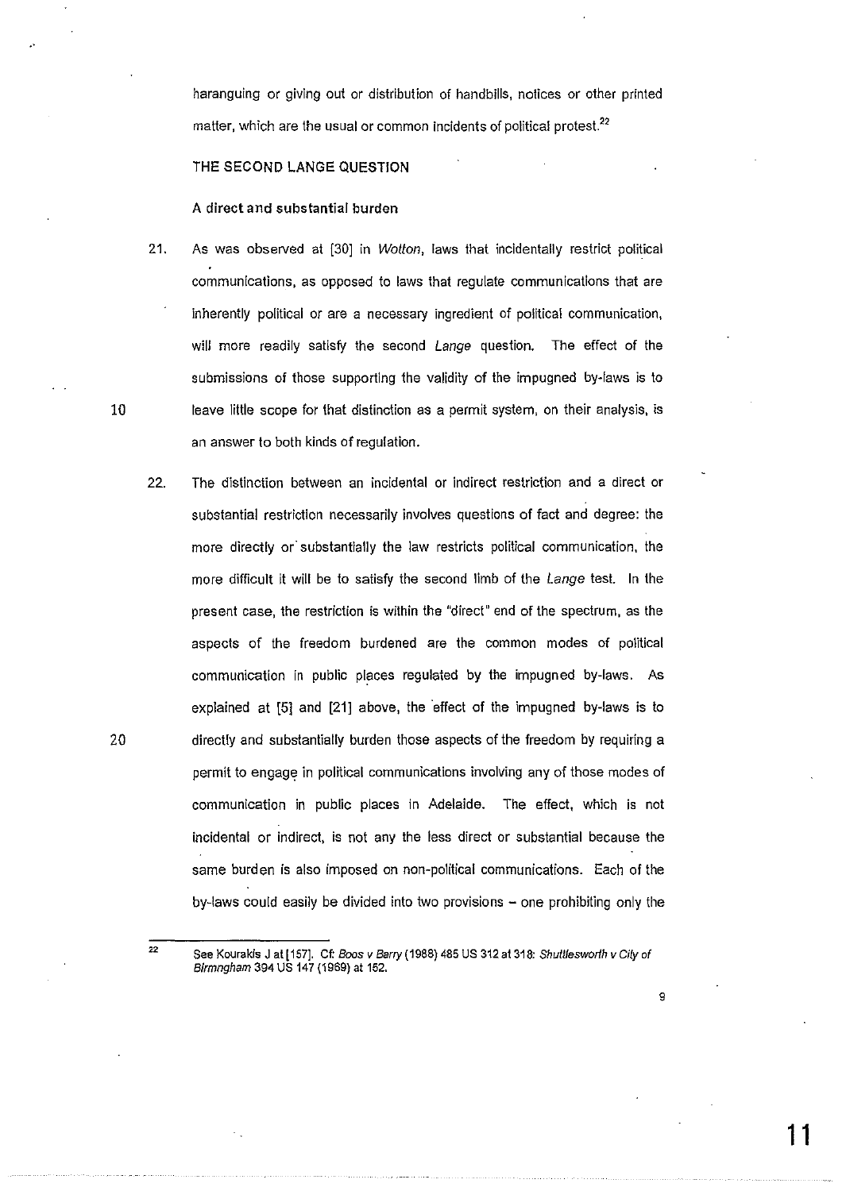haranguing or giving out or distribution of handbills, notices or other printed matter, which are the usual or common incidents of political protest.<sup>22</sup>

# THE SECOND LANGE QUESTION

#### A direct and substantial burden

- 21. As was observed at [30] in Wotton, laws that incidentally restrict political communications, as opposed to laws that regulate communications that are inherently political or are a necessary ingredient of political communication, will more readily satisfy the second Lange question. The effect of the submissions of those supporting the validity of the impugned by-laws is to 10 leave little scope for that distinction as a permit system, on their analysis, is an answer to both kinds of regulation.
- 22. The distinction between an incidental or indirect restriction and a direct or substantial restriction necessarily involves questions of fact and degree: the more directly or' substantially the law restricts political communication, the more difficult it will be to satisfy the second limb of the *Lange* test. In the present case, the restriction is within the "direct" end of the spectrum, as the aspects of the freedom burdened are the common modes of political communication in public places regulated by the impugned by-laws. As explained at [5] and [21] above, the effect of the impugned by-laws is to 20 directly and substantially burden those aspects of the freedom by requiring a permit to engage in political communications involving any of those modes of communication in public places in Adelaide. The effect, which is not incidental or indirect, is not any the less direct or substantial because the same burden is also imposed on non-political communications. Each of the by-laws could easily be divided into two provisions - one prohibiting only the

<sup>22</sup>  See Kourakis J at [157]. Cf: Boos v Barry (1988) 485 US 312 at 318: Shuttlesworth v City of Blrmngham 394 US 147 (1969) at 152.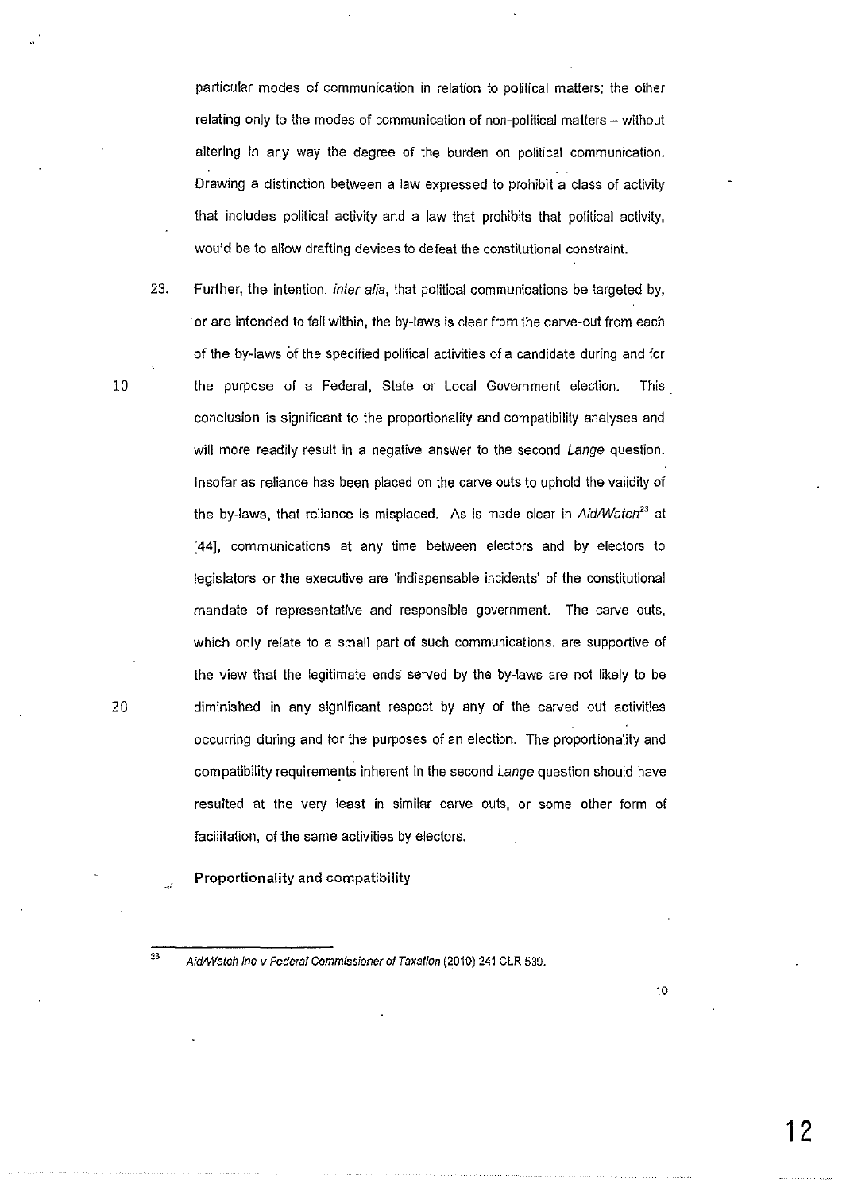particular modes of communication in relation to political matters; the other relating only to the modes of communication of non-political matters- without altering in any way the degree of the burden on political communication. Drawing a distinction between a law expressed to prohibit a class of activity that includes political activity and a Jaw that prohibits that political activity, would be to allow drafting devices to defeat the constitutional constraint.

- 23. Further, the intention, inter alia, that political communications be targeted by, or are intended to fall within, the by-laws is clear from the carve-out from each of the by-laws of the specified political activities of a candidate during and for 10 the purpose of a Federal, State or Local Government election. This conclusion is significant to the proportionality and compatibility analyses and will more readily result in a negative answer to the second Lange question. Insofar as reliance has been placed on the carve outs to uphold the validity of the by-laws, that reliance is misplaced. As is made clear in Aid/Watch<sup>23</sup> at [44], communications at any time between electors and by electors to legislators or the executive are 'indispensable incidents' of the constitutional mandate of representative and responsible government. The carve outs, which only relate to a small part of such communications, are supportive of the view that the legitimate ends served by the by-laws are not likely to be 20 diminished in any significant respect by any of the carved out activities occurring during and for the purposes of an election. The proportionality and compatibility requirements inherent in the second Lange question should have resulted at the very least in similar carve outs, or some other form of facilitation, of the same activities by electors.
	- Proportionality and compatibility

<sup>&</sup>lt;sup>23</sup> Aid/Watch Inc v Federal Commissioner of Taxation (2010) 241 CLR 539.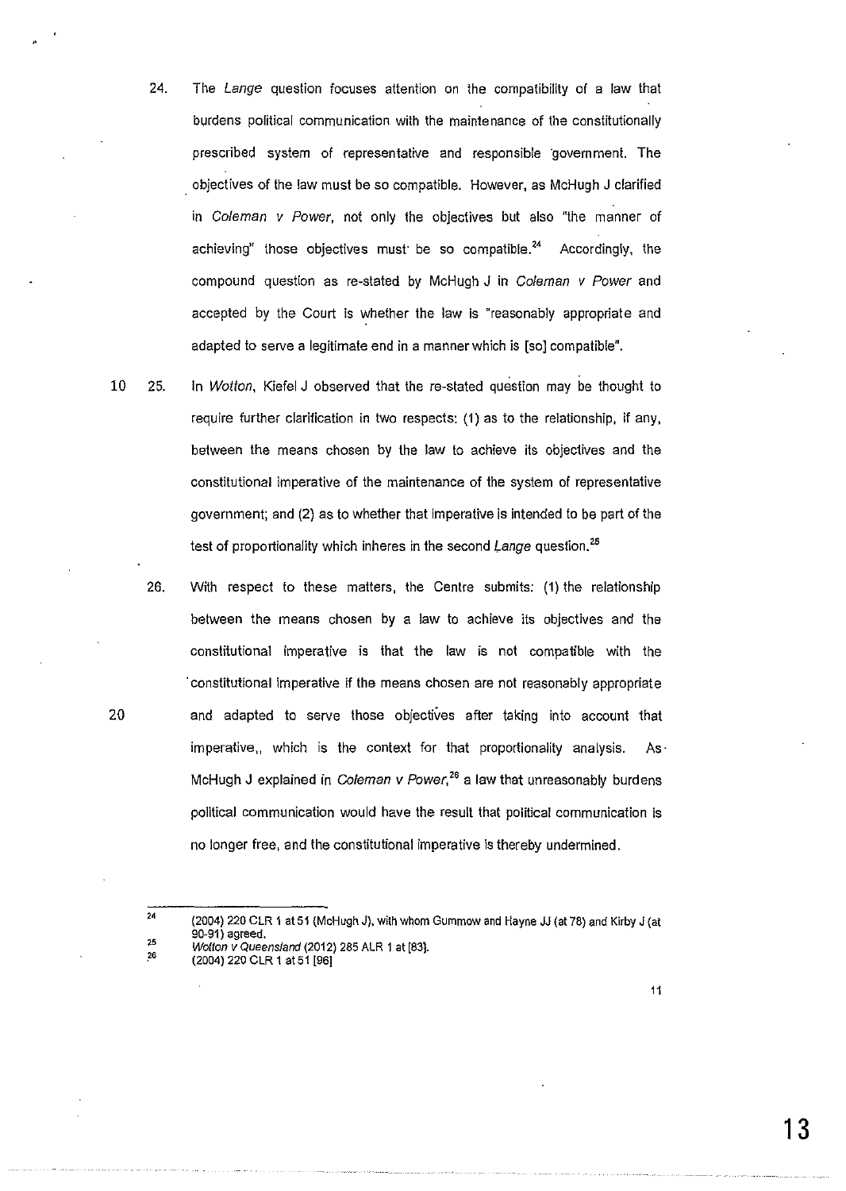- 24. The Lange question focuses attention on the compatibility of a law that burdens political communication with the maintenance of the constitutionally prescribed system of representative and responsible government. The . objectives of the law must be so compatible. However, as McHugh J clarified in Coleman v Power, not only the objectives but also "the manner of achieving" those objectives must be so compatible.<sup>24</sup> Accordingly, the compound question as re-stated by McHugh J in Coleman *v* Power and accepted by the Court is whether the law is "reasonably appropriate and adapted to serve a legitimate end in a manner which is [so] compatible".
- 10 25. In Wotton, Kiefel J observed that the re-stated question may be thought to require further clarification in two respects: (1) as to the relationship, if any, between the means chosen by the law to achieve its objectives and the constitutional imperative of the maintenance of the system of representative government; and (2) as to whether that imperative is intended to be part of the test of proportionality which inheres in the second Lange question.<sup>25</sup>
- 26. With respect to these matters, the Centre submits; (1) the relationship between the means chosen by a law to achieve its objectives and the constitutional imperative is that the law is not compatible with the ·constitutional imperative if the means chosen are not reasonably appropriate 20 and adapted to serve those objectives after taking into account that imperative, which is the context for that proportionality analysis. As· McHugh J explained in Coleman v Power,<sup>26</sup> a law that unreasonably burdens political communication would have the result that political communication is no longer free, and the constitutional imperative is thereby undermined.

25<br>26

(2004) 220 CLR 1 at 51 [96]

11

<sup>24</sup> (2004) 220 CLR 1 at 51 (McHugh J), with whom Gummow and Hayne JJ (at 78) and Kirby J (at 90-91) agreed, Wotton v Queensland (2012) 285 ALR 1 at [83}.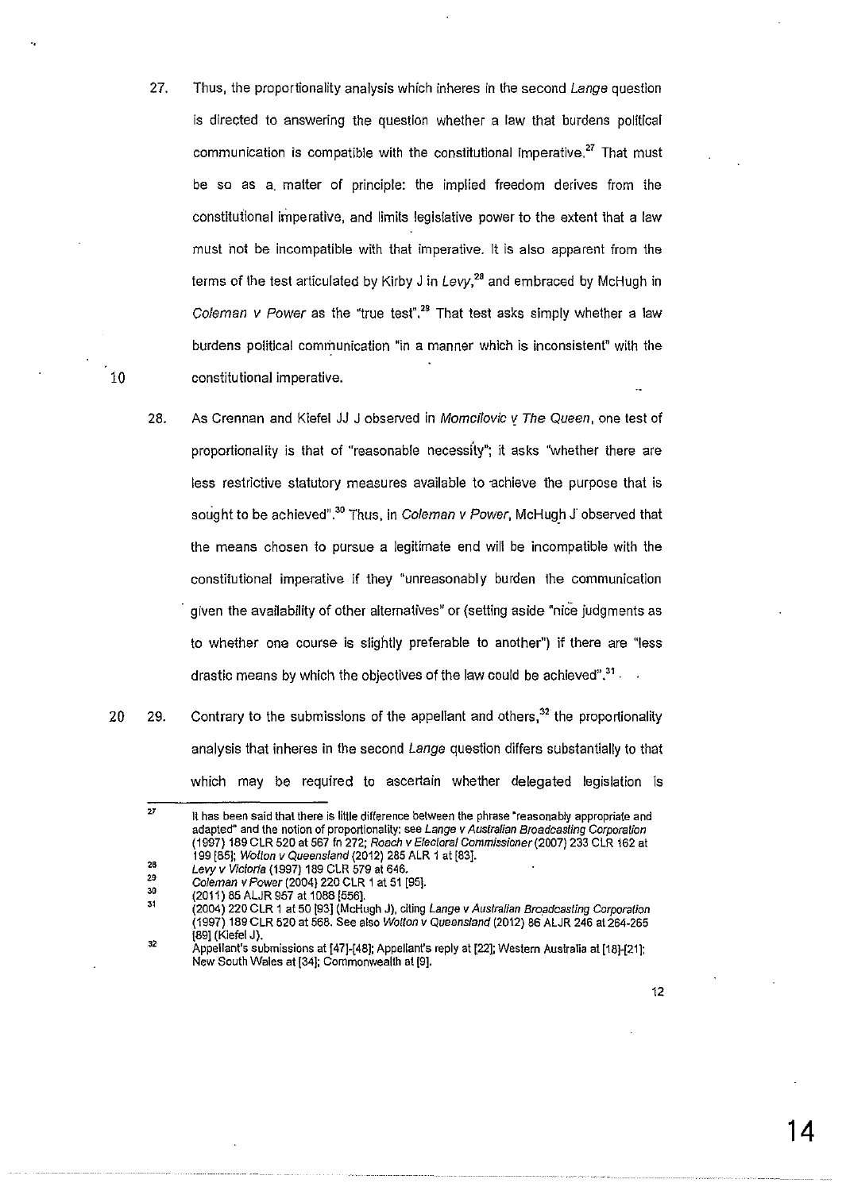- 27. Thus, the proportionality analysis which inheres in the second Lange question is directed to answering the question whether a law that burdens political communication is compatible with the constitutional imperative.<sup>27</sup> That must be so as a. matter of principle: the implied freedom derives from the constituiional imperative, and limits legislative power to the extent that a law must hot be incompatible with that imperative. It is also apparent from the terms of the test articulated by Kirby J in Levy,*<sup>28</sup>*and embraced by McHugh in Coleman v Power as the "true test".<sup>28</sup> That test asks simply whether a law burdens political communication "in a manner which is inconsistent" with the constitutional imperative.
- 28. As Grennan and Kiefel JJ J observed in Momcilovic *v* The Queen, one test of proportionality is that of "reasonable necessity"; it asks "whether there are less restrictive statutory measures available to achieve the purpose that is sought to be achieved".<sup>30</sup> Thus, in Coleman v Power, McHugh J observed that the means chosen to pursue a legitimate end will be incompatible with the constitutional imperative if they "unreasonably burden the communication · given the availability of other alternatives" or (setting aside "nice judgments as to whether one course is slightly preferable to another") if there are "less drastic means by which the objectives of the law could be achieved". $^{\bf 31}$  .
- 20 29. Contrary to the submissions of the appellant and others, $32$  the proportionality analysis that inheres in the second Lange question differs substantially to that which may be required to ascertain whether delegated legislation is

10

12

<sup>27</sup>  **1t has been said that there is little difference between the phrase ·reasonably appropriate and adapted" and the notion of proportionality: see Lange v Australian Broadcasting Corporation**  (1997) 189 CLR 520 at 567 fn 272; Roach v Electoral Commissioner(2007) 233 CLR 162 at 199 [85]; Wotton v Queensland (2012) 285 ALR 1 at [83].

<sup>26</sup>  Levy *v* Victoria (1997) 189 CLR 579 at 646.

<sup>&</sup>quot; 30 Coleman *v* Power (2004) 220 CLR 1 at 51 [95].

<sup>(2011) 85</sup> ALJR 957 at 1088 [556].

<sup>31</sup> 32 (2004) 220 CLR 1 at 50 [93] (McHugh J), citing Lange *v* Australian Broadcasting Corporation (1997) 189 CLR 520 at 568. See also Wotton *v* Queensland (2012) 86 ALJR 246 at 264-265 f89] (Kiefel J).

Appellant's submissions at [47]-[48]; Appellant's reply at [22]; Western Australia at [18]-[21]: New South Wales at [34]; Commonwealth at [9].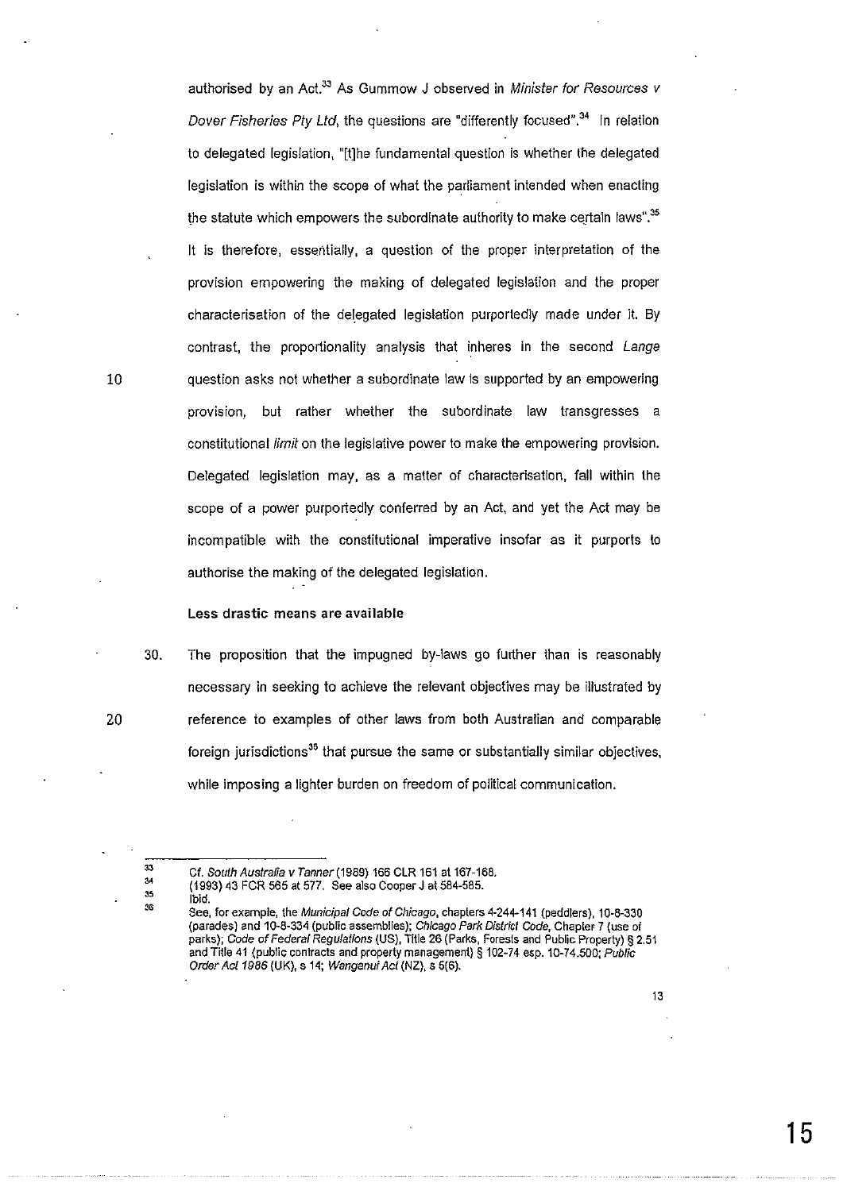authorised by an Act.<sup>33</sup> As Gummow J observed in Minister for Resources v Dover Fisheries Pty Ltd, the questions are "differently focused".<sup>34</sup> In relation to delegated legislation, "[t]he fundamental question is whether the delegated legislation is within the scope of what the parliament intended when enacting the statute which empowers the subordinate authority to make certain laws".<sup>35</sup> It is therefore, essentially, a question of the proper interpretation of the provision empowering the making of delegated legislation and the proper characterisation of the delegated legislation purportedly made under it. By contrast, the proportionality analysis that inheres in the second Lange question asks not whether a subordinate law is supported by an empowering provision, but rather whether the subordinate law transgresses a constitutional *limit* on the legislative power to make the empowering provision. Delegated legislation may, as a matter of characterisation, fall within the scope of a power purportedly conferred by an Act, and yet the Act may be incompatible with the constitutional imperative insofar as it purports to authorise the making of the delegated legislation.

# Less drastic means are available

30. The proposition that the impugned by-laws go further than is reasonably necessary in seeking to achieve the relevant objectives may be illustrated by reference to examples of other laws from both Australian and comparable foreign jurisdictions<sup>36</sup> that pursue the same or substantially similar objectives, while imposing a lighter burden on freedom of political communication.

35 .<br>የድ

Ibid.

10

<sup>33</sup>  Cf. South Australia v Tanner(1989) 166 CLR 161 at 167-168.

<sup>34</sup>  (1993) 43 FCR 565 at 577. See also Cooper J at 584-585.

See, for example, the Municipal Code of Chicago, chapters 4-244-141 (peddlers), 10-8-330 (parades) and 10-8-334 (public assemblies); Chicago Park District Code, Chapter 7 (use of parks); Code of Federal Regulations (US), Title 26 (Parks, Forests and Public Property) § 2.51 and Title 41 (public contracts and property management) § 102-74 esp. 10-74.500; Public Order Act 1986 (UK), s 14; Wanganui Act (NZ), s 5(6).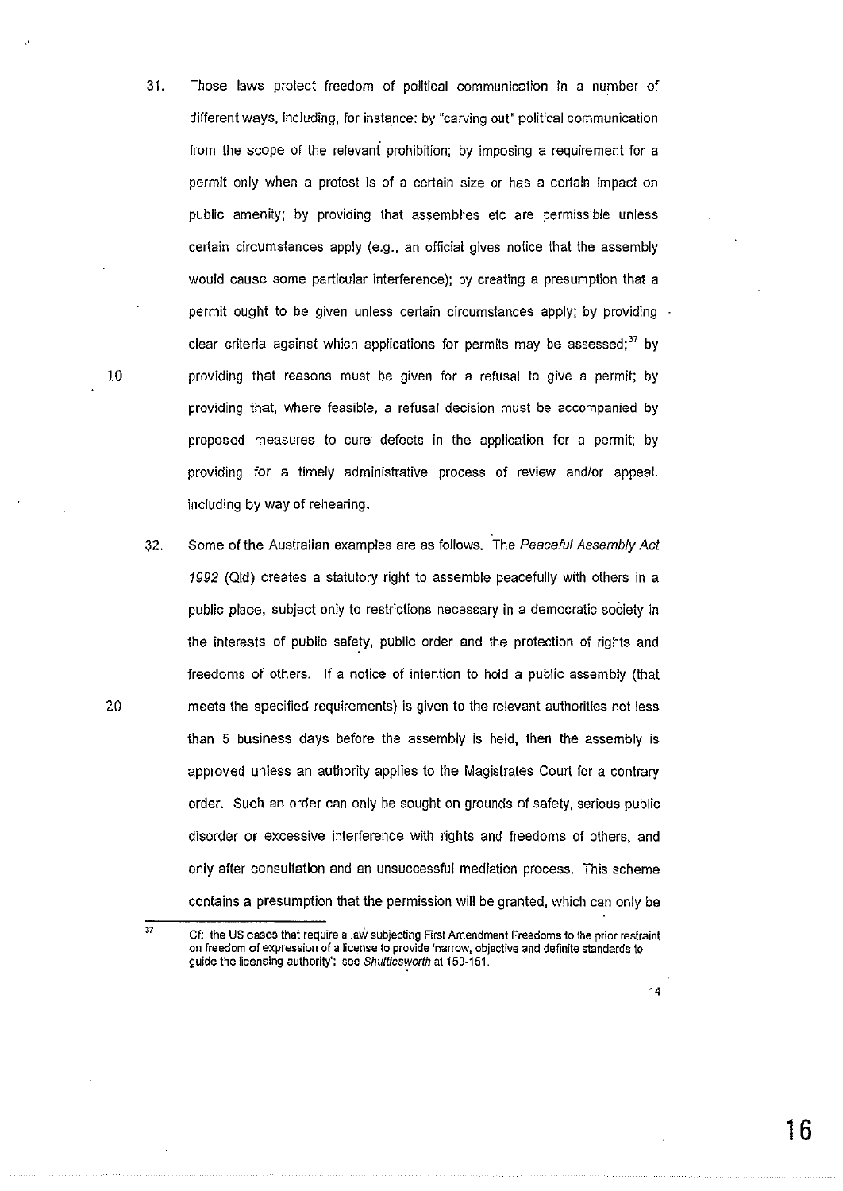31. Those laws protect freedom of political communication in a number of different ways, including, for instance: by "carving out" political communication from the scope of the relevant prohibition; by imposing a requirement for a permit only when a protest is of a certain size or has a certain impact on public amenity; by providing that assemblies etc are permissible unless certain circumstances apply (e.g., an official gives notice that the assembly would cause some particular interference); by creating a presumption that a permit ought to be given unless certain circumstances apply; by providing clear criteria against which applications for permits may be assessed; $37$  by 10 providing that reasons must be given for a refusal to give a permit; by providing that, where feasible, a refusal decision must be accompanied by proposed measures to cure· defects in the application for a permit; by providing for a timely administrative process of review and/or appeal. including by way of rehearing.

..

32. Some of the Australian examples are as follows. The Peaceful Assembly Act 1992 (Qid) creates a statutory right to assemble peacefully with others in a public place, subject only to restrictions necessary in a democratic society in the interests of public safety, public order and the protection of rights and freedoms of others. If a notice of intention to hold a public assembly (that 20 meets the specified requirements) is given to the relevant authorities not less than 5 business days before the assembly is held, then the assembly is approved unless an authority applies to the Magistrates Court for a contrary order. Such an order can only be sought on grounds of safety, serious public disorder or excessive interference with rights and freedoms of others, and only after consultation and an unsuccessful mediation process. This scheme contains a presumption that the permission will be granted, which can only be

37

**Cf: the US cases that require a JaW subjecting First Amendment Freedoms to the prior restraint on freedom of expression of a license to provide 'narrow, objective and definite standards to**  guide the licensing authority': see Shuftlesworth at 150-151.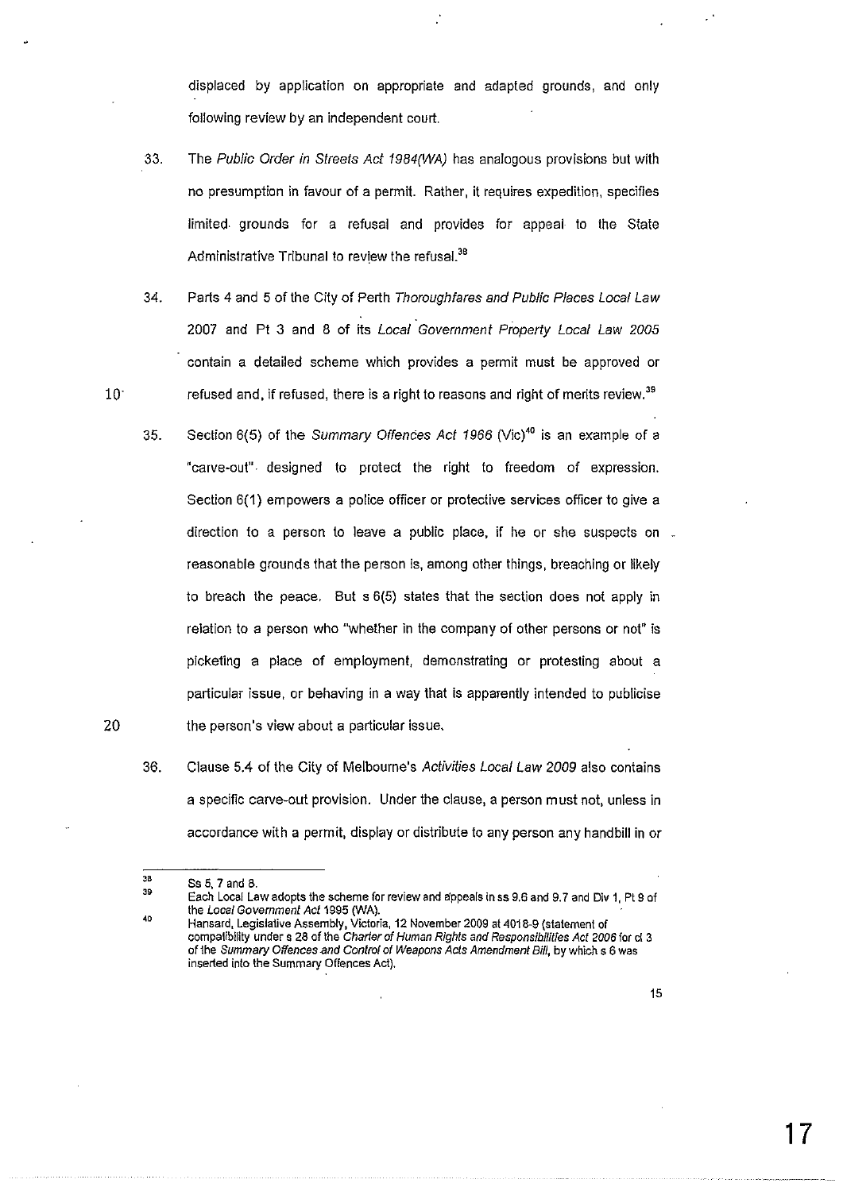displaced by application on appropriate and adapted grounds, and only following review by an independent court.

- 33. The Public Order in Streets Act 1984(WA) has analogous provisions but with no presumption in favour of a permit. Rather, it requires expedition, specifies limited. grounds for a refusal and provides for appeal to the State Administrative Tribunal to review the refusal.<sup>38</sup>
- 34. Parts 4 and 5 of the City of Perth Thoroughfares and Public Places Local Law 2007 and Pt 3 and 8 of its Local Government Property Local Law 2005 contain a detailed scheme which provides a permit must be approved or refused and, if refused, there is a right to reasons and right of merits review.<sup>39</sup>
- 35. Section  $6(5)$  of the Summary Offences Act 1966 (Vic)<sup>40</sup> is an example of a "carve-out". designed to protect the right to freedom of expression. Section 6(1) empowers a police officer or protective services officer to give a direction to a person to leave a public place, if he or she suspects on. reasonable grounds that the person is, among other things, breaching or likely to breach the peace. But s 6(5) states that the section does not apply in relation to a person who "whether in the company of other persons or not" is picketing a place of employment, demonstrating or protesting about a particular issue, or behaving in a way that is apparently intended to publicise the person's view about a particular issue.
- 36. Clause 5.4 of the City of Melbourne's Activities Local Law 2009 also contains a specific carve-out provision. Under the clause, a person must not, unless in accordance with a permit, display or distribute to any person any handbill in or

10

20

<sup>38&</sup>lt;br>39 Ss 5, 7 and 8.

<sup>40</sup>  Each Local Law adopts the scheme for review and appeals in ss 9.8 and 9. 7 and Div 1, Pt 9 of the Local Government Act 1995 (WA).

Hansard, Legislative Assembly, Victoria, 12 November 2009 at 4018-9 (statement of compatibility under s 28 of the Charter of Human Rights and Responsibilities Act 2006 for cl 3 of the Summary Offences and Control of Weapons Acts Amendment Bill, by which s 6 was inserted into the Summary Offences Act).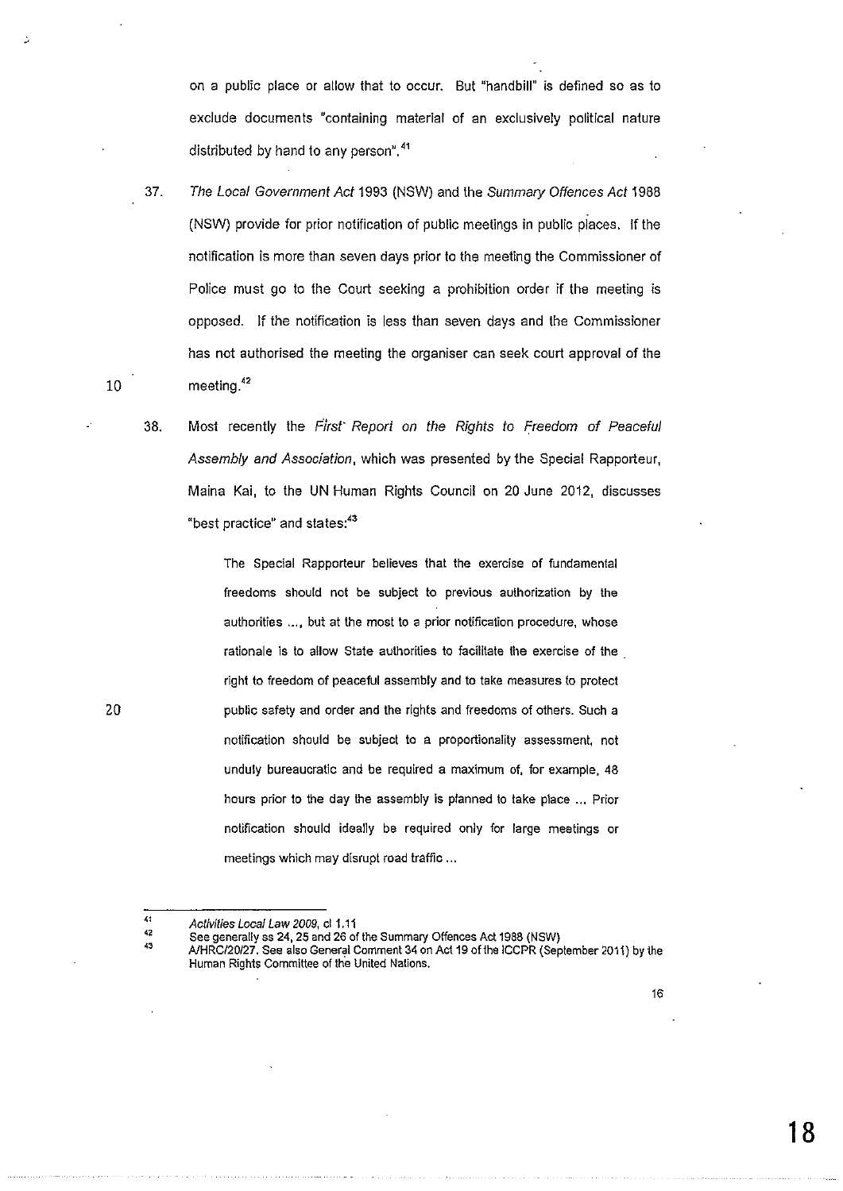on a public place or allow that to occur. But "handbill" is defined so as to exclude documents "containing material of an exclusively political nature distributed by hand to any person".<sup>41</sup>

- 37. The Local Government Act 1993 (NSW) and the Summary Offences Act 1988 (NSW) provide for prior notification of public meetings in public places. If the notification is more than seven days prior to the meeting the Commissioner of Police must go to the Court seeking a prohibition order if the meeting is opposed. If the notification is less than seven days and the Commissioner has not authorised the meeting the organiser can seek court approval of the meeting.<sup>42</sup>
- 38. Most recently the First" Report on the Rights to Freedom of Peaceful Assembly and Association, which was presented by the Special Rapporteur, Maine Kai, to the UN Human Rights Council on 20 June 2012, discusses "best practice" and states:<sup>43</sup>

The Special Rapporteur believes that the exercise of fundamental freedoms should not be subject to previous authorization by the **authorities** ... , **but at the most to a prior notification procedure, whose**  rationale is to allow State authorities to facilitate the exercise of the . right to freedom of peaceful assembly and to take measures to protect public safety and order and the rights and freedoms of others. Such a notification should be subject to a proportionality assessment, not unduly bureaucratic and be required a maximum of, for example, 48 hours prior to the day the assembly is planned to take place ... Prior notification should ideally be required only for large meetings or meetings which may disrupt road traffic ...

10

20

<sup>41&</sup>lt;br>42 Activities Local Law 2009, cl 1.11

<sup>43</sup> See generally ss 24, 25 and 26 of the Summary Offences Act 1988 (NSW)

A/HRC/20127. See also General Comment 34 on Act 19 of the ICCPR (September 2011) by the **Human Rights Committee of the United Nations.**